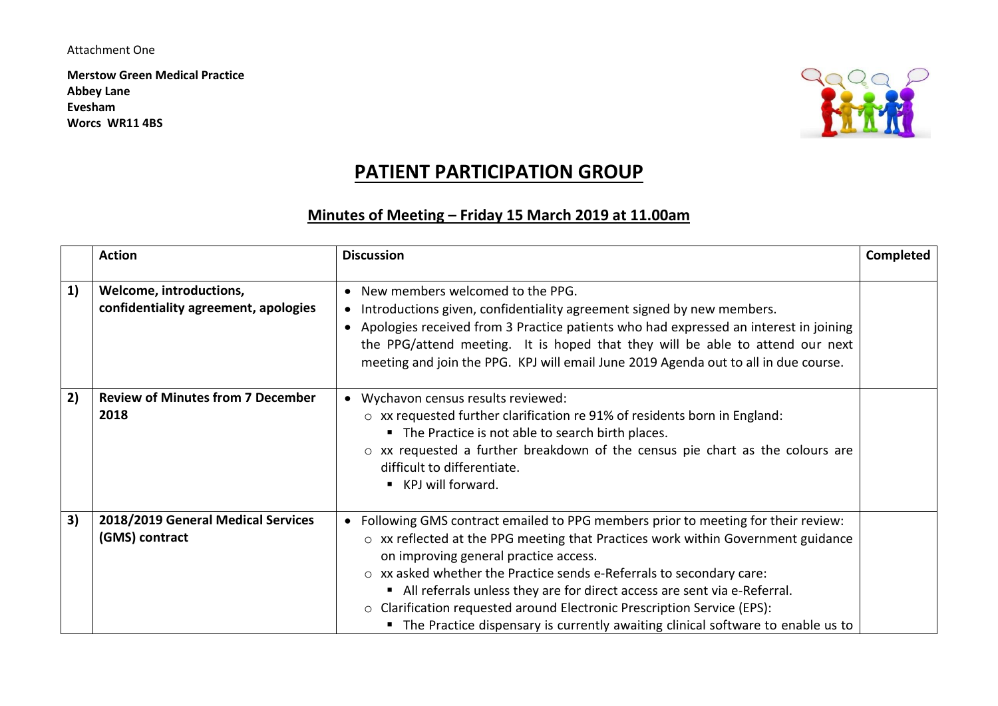#### Attachment One

**Merstow Green Medical Practice Abbey Lane Evesham Worcs WR11 4BS**



# **PATIENT PARTICIPATION GROUP**

# **Minutes of Meeting – Friday 15 March 2019 at 11.00am**

|    | <b>Action</b>                                                   | <b>Discussion</b>                                                                                                                                                                                                                                                                                                                                                                                                                                                                                                                                 | <b>Completed</b> |
|----|-----------------------------------------------------------------|---------------------------------------------------------------------------------------------------------------------------------------------------------------------------------------------------------------------------------------------------------------------------------------------------------------------------------------------------------------------------------------------------------------------------------------------------------------------------------------------------------------------------------------------------|------------------|
| 1) | Welcome, introductions,<br>confidentiality agreement, apologies | • New members welcomed to the PPG.<br>Introductions given, confidentiality agreement signed by new members.<br>$\bullet$<br>Apologies received from 3 Practice patients who had expressed an interest in joining<br>$\bullet$<br>the PPG/attend meeting. It is hoped that they will be able to attend our next<br>meeting and join the PPG. KPJ will email June 2019 Agenda out to all in due course.                                                                                                                                             |                  |
| 2) | <b>Review of Minutes from 7 December</b><br>2018                | • Wychavon census results reviewed:<br>o xx requested further clarification re 91% of residents born in England:<br>• The Practice is not able to search birth places.<br>$\circ$ xx requested a further breakdown of the census pie chart as the colours are<br>difficult to differentiate.<br>■ KPJ will forward.                                                                                                                                                                                                                               |                  |
| 3) | 2018/2019 General Medical Services<br>(GMS) contract            | • Following GMS contract emailed to PPG members prior to meeting for their review:<br>$\circ$ xx reflected at the PPG meeting that Practices work within Government guidance<br>on improving general practice access.<br>$\circ$ xx asked whether the Practice sends e-Referrals to secondary care:<br>• All referrals unless they are for direct access are sent via e-Referral.<br>o Clarification requested around Electronic Prescription Service (EPS):<br>• The Practice dispensary is currently awaiting clinical software to enable us to |                  |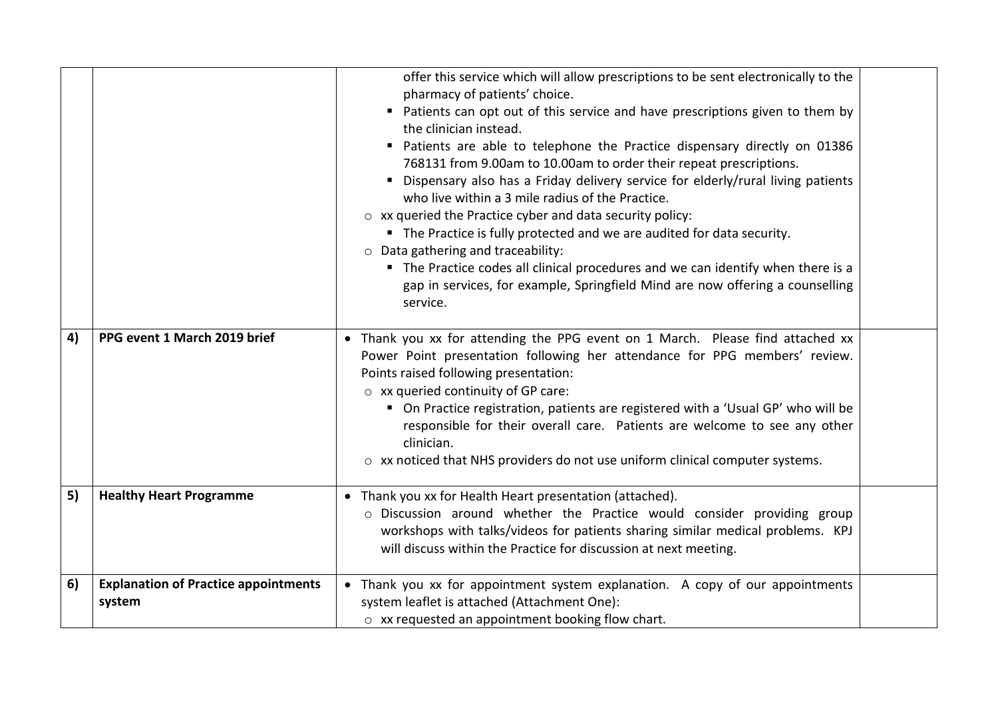|    |                                                       | offer this service which will allow prescriptions to be sent electronically to the<br>pharmacy of patients' choice.<br>Patients can opt out of this service and have prescriptions given to them by<br>the clinician instead.<br>" Patients are able to telephone the Practice dispensary directly on 01386<br>768131 from 9.00am to 10.00am to order their repeat prescriptions.<br>• Dispensary also has a Friday delivery service for elderly/rural living patients<br>who live within a 3 mile radius of the Practice.<br>$\circ$ xx queried the Practice cyber and data security policy:<br>" The Practice is fully protected and we are audited for data security.<br>$\circ$ Data gathering and traceability:<br>The Practice codes all clinical procedures and we can identify when there is a<br>gap in services, for example, Springfield Mind are now offering a counselling<br>service. |  |
|----|-------------------------------------------------------|-----------------------------------------------------------------------------------------------------------------------------------------------------------------------------------------------------------------------------------------------------------------------------------------------------------------------------------------------------------------------------------------------------------------------------------------------------------------------------------------------------------------------------------------------------------------------------------------------------------------------------------------------------------------------------------------------------------------------------------------------------------------------------------------------------------------------------------------------------------------------------------------------------|--|
| 4) | PPG event 1 March 2019 brief                          | • Thank you xx for attending the PPG event on 1 March. Please find attached xx<br>Power Point presentation following her attendance for PPG members' review.<br>Points raised following presentation:<br>$\circ$ xx queried continuity of GP care:<br>• On Practice registration, patients are registered with a 'Usual GP' who will be<br>responsible for their overall care. Patients are welcome to see any other<br>clinician.<br>o xx noticed that NHS providers do not use uniform clinical computer systems.                                                                                                                                                                                                                                                                                                                                                                                 |  |
| 5) | <b>Healthy Heart Programme</b>                        | • Thank you xx for Health Heart presentation (attached).<br>o Discussion around whether the Practice would consider providing group<br>workshops with talks/videos for patients sharing similar medical problems. KPJ<br>will discuss within the Practice for discussion at next meeting.                                                                                                                                                                                                                                                                                                                                                                                                                                                                                                                                                                                                           |  |
| 6) | <b>Explanation of Practice appointments</b><br>system | • Thank you xx for appointment system explanation. A copy of our appointments<br>system leaflet is attached (Attachment One):<br>o xx requested an appointment booking flow chart.                                                                                                                                                                                                                                                                                                                                                                                                                                                                                                                                                                                                                                                                                                                  |  |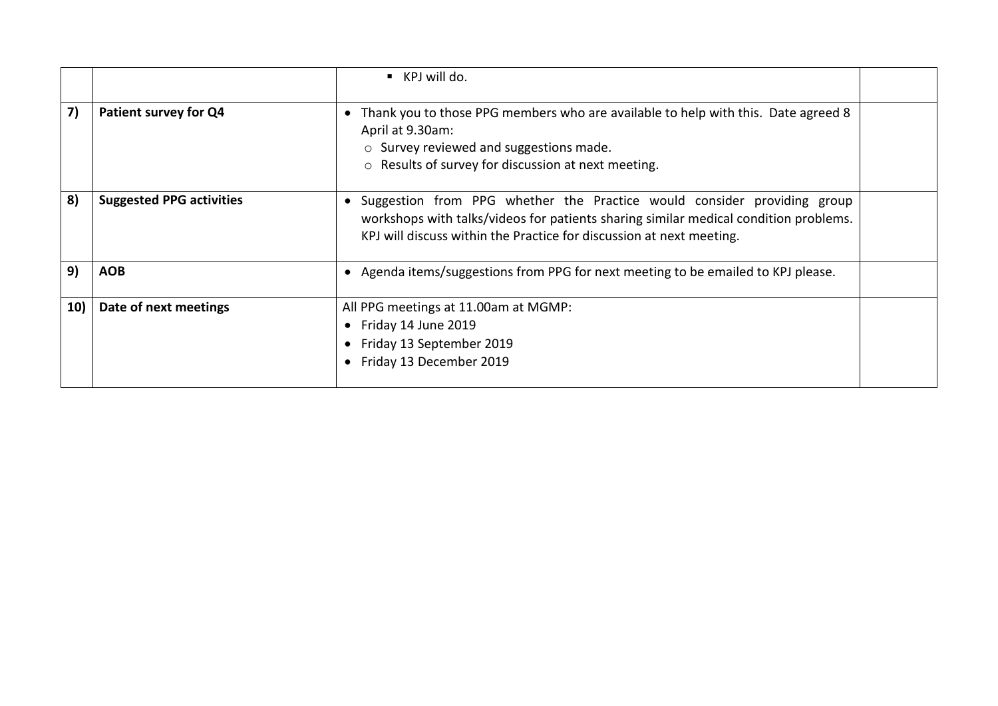|           |                                 | $\blacksquare$ KPJ will do.                                                                                                                                                                                                             |  |
|-----------|---------------------------------|-----------------------------------------------------------------------------------------------------------------------------------------------------------------------------------------------------------------------------------------|--|
| 7)        | Patient survey for Q4           | Thank you to those PPG members who are available to help with this. Date agreed 8<br>$\bullet$<br>April at 9.30am:<br>$\circ$ Survey reviewed and suggestions made.<br>○ Results of survey for discussion at next meeting.              |  |
| 8)        | <b>Suggested PPG activities</b> | Suggestion from PPG whether the Practice would consider providing group<br>workshops with talks/videos for patients sharing similar medical condition problems.<br>KPJ will discuss within the Practice for discussion at next meeting. |  |
| 9)        | <b>AOB</b>                      | Agenda items/suggestions from PPG for next meeting to be emailed to KPJ please.<br>$\bullet$                                                                                                                                            |  |
| <b>10</b> | Date of next meetings           | All PPG meetings at 11.00am at MGMP:<br>Friday 14 June 2019<br>Friday 13 September 2019<br>Friday 13 December 2019                                                                                                                      |  |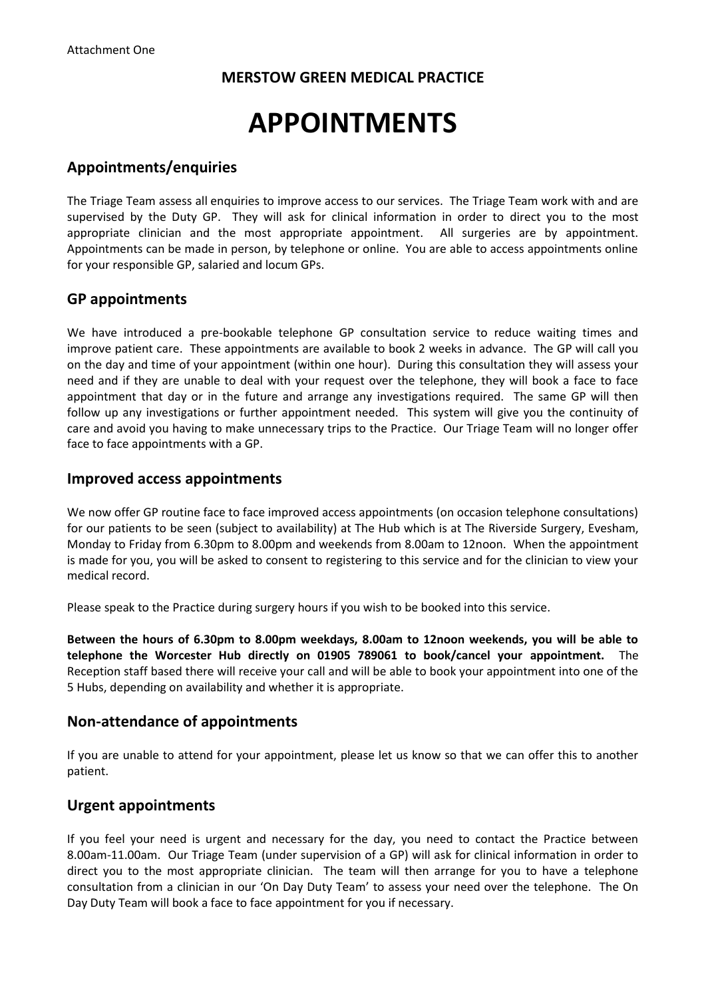# **APPOINTMENTS**

## **Appointments/enquiries**

The Triage Team assess all enquiries to improve access to our services. The Triage Team work with and are supervised by the Duty GP. They will ask for clinical information in order to direct you to the most appropriate clinician and the most appropriate appointment. All surgeries are by appointment. Appointments can be made in person, by telephone or online. You are able to access appointments online for your responsible GP, salaried and locum GPs.

#### **GP appointments**

We have introduced a pre-bookable telephone GP consultation service to reduce waiting times and improve patient care. These appointments are available to book 2 weeks in advance. The GP will call you on the day and time of your appointment (within one hour). During this consultation they will assess your need and if they are unable to deal with your request over the telephone, they will book a face to face appointment that day or in the future and arrange any investigations required. The same GP will then follow up any investigations or further appointment needed. This system will give you the continuity of care and avoid you having to make unnecessary trips to the Practice. Our Triage Team will no longer offer face to face appointments with a GP.

#### **Improved access appointments**

We now offer GP routine face to face improved access appointments (on occasion telephone consultations) for our patients to be seen (subject to availability) at The Hub which is at The Riverside Surgery, Evesham, Monday to Friday from 6.30pm to 8.00pm and weekends from 8.00am to 12noon. When the appointment is made for you, you will be asked to consent to registering to this service and for the clinician to view your medical record.

Please speak to the Practice during surgery hours if you wish to be booked into this service.

**Between the hours of 6.30pm to 8.00pm weekdays, 8.00am to 12noon weekends, you will be able to telephone the Worcester Hub directly on 01905 789061 to book/cancel your appointment.** The Reception staff based there will receive your call and will be able to book your appointment into one of the 5 Hubs, depending on availability and whether it is appropriate.

#### **Non-attendance of appointments**

If you are unable to attend for your appointment, please let us know so that we can offer this to another patient.

# **Urgent appointments**

If you feel your need is urgent and necessary for the day, you need to contact the Practice between 8.00am-11.00am. Our Triage Team (under supervision of a GP) will ask for clinical information in order to direct you to the most appropriate clinician. The team will then arrange for you to have a telephone consultation from a clinician in our 'On Day Duty Team' to assess your need over the telephone. The On Day Duty Team will book a face to face appointment for you if necessary.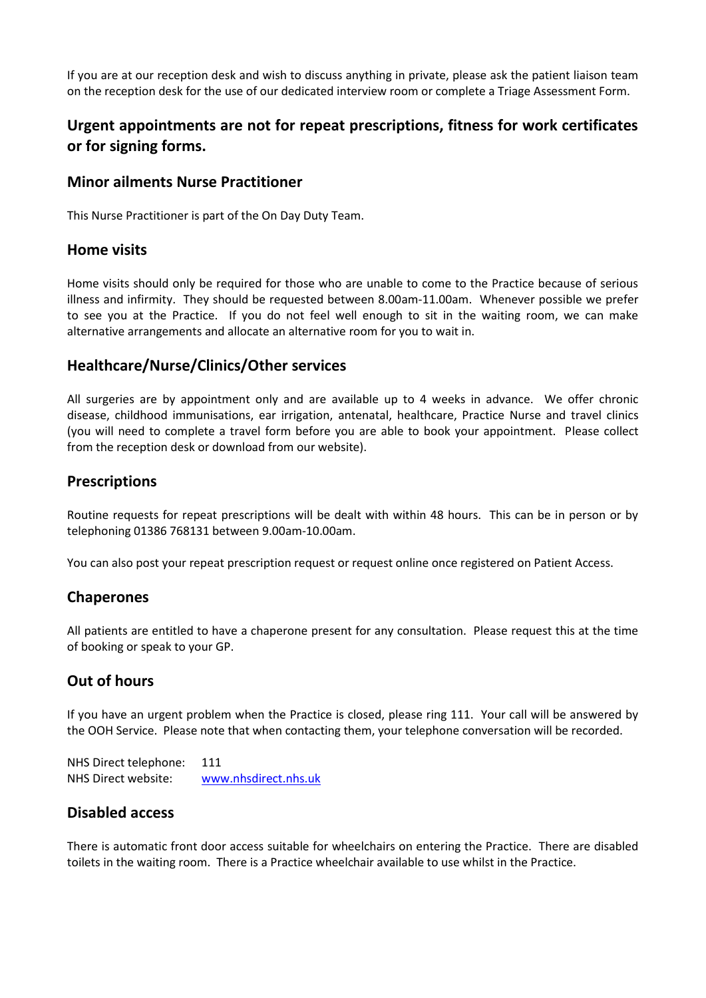If you are at our reception desk and wish to discuss anything in private, please ask the patient liaison team on the reception desk for the use of our dedicated interview room or complete a Triage Assessment Form.

# **Urgent appointments are not for repeat prescriptions, fitness for work certificates or for signing forms.**

#### **Minor ailments Nurse Practitioner**

This Nurse Practitioner is part of the On Day Duty Team.

#### **Home visits**

Home visits should only be required for those who are unable to come to the Practice because of serious illness and infirmity. They should be requested between 8.00am-11.00am. Whenever possible we prefer to see you at the Practice. If you do not feel well enough to sit in the waiting room, we can make alternative arrangements and allocate an alternative room for you to wait in.

#### **Healthcare/Nurse/Clinics/Other services**

All surgeries are by appointment only and are available up to 4 weeks in advance. We offer chronic disease, childhood immunisations, ear irrigation, antenatal, healthcare, Practice Nurse and travel clinics (you will need to complete a travel form before you are able to book your appointment. Please collect from the reception desk or download from our website).

#### **Prescriptions**

Routine requests for repeat prescriptions will be dealt with within 48 hours. This can be in person or by telephoning 01386 768131 between 9.00am-10.00am.

You can also post your repeat prescription request or request online once registered on Patient Access.

# **Chaperones**

All patients are entitled to have a chaperone present for any consultation. Please request this at the time of booking or speak to your GP.

# **Out of hours**

If you have an urgent problem when the Practice is closed, please ring 111. Your call will be answered by the OOH Service. Please note that when contacting them, your telephone conversation will be recorded.

NHS Direct telephone: 111 NHS Direct website: [www.nhsdirect.nhs.uk](http://www.nhsdirect.nhs.uk/)

#### **Disabled access**

There is automatic front door access suitable for wheelchairs on entering the Practice. There are disabled toilets in the waiting room. There is a Practice wheelchair available to use whilst in the Practice.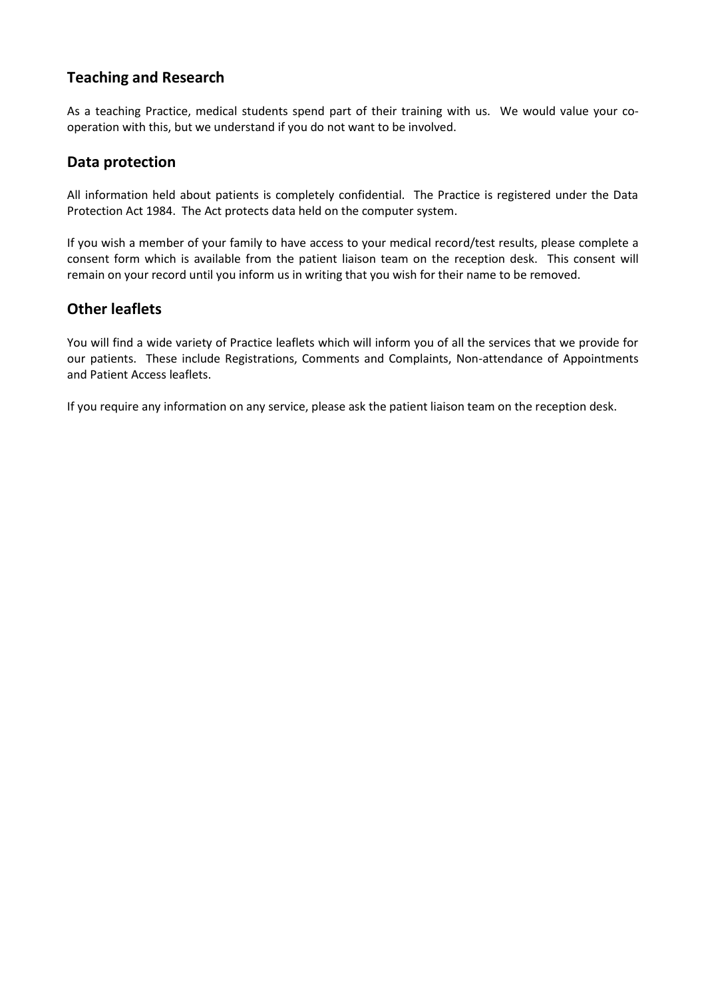# **Teaching and Research**

As a teaching Practice, medical students spend part of their training with us. We would value your cooperation with this, but we understand if you do not want to be involved.

## **Data protection**

All information held about patients is completely confidential. The Practice is registered under the Data Protection Act 1984. The Act protects data held on the computer system.

If you wish a member of your family to have access to your medical record/test results, please complete a consent form which is available from the patient liaison team on the reception desk. This consent will remain on your record until you inform us in writing that you wish for their name to be removed.

## **Other leaflets**

You will find a wide variety of Practice leaflets which will inform you of all the services that we provide for our patients. These include Registrations, Comments and Complaints, Non-attendance of Appointments and Patient Access leaflets.

If you require any information on any service, please ask the patient liaison team on the reception desk.